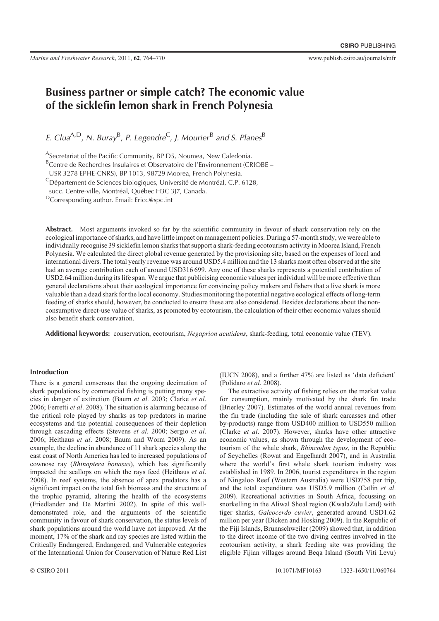# Business partner or simple catch? The economic value of the sicklefin lemon shark in French Polynesia

E. Clua<sup>A,D</sup>, N. Buray<sup>B</sup>, P. Legendre<sup>C</sup>, J. Mourier<sup>B</sup> and S. Planes<sup>B</sup>

<sup>A</sup>Secretariat of the Pacific Community, BP D5, Noumea, New Caledonia.

BCentre de Recherches Insulaires et Observatoire de l'Environnement (CRIOBE -

USR 3278 EPHE-CNRS), BP 1013, 98729 Moorea, French Polynesia.

<sup>C</sup>Département de Sciences biologiques, Université de Montréal, C.P. 6128,

succ. Centre-ville, Montréal, Québec H3C 3J7, Canada.

DCorresponding author. Email: Ericc@spc.int

Abstract. Most arguments invoked so far by the scientific community in favour of shark conservation rely on the ecological importance of sharks, and have little impact on management policies. During a 57-month study, we were able to individually recognise 39 sicklefin lemon sharks that support a shark-feeding ecotourism activity in Moorea Island, French Polynesia. We calculated the direct global revenue generated by the provisioning site, based on the expenses of local and international divers. The total yearly revenue was around USD5.4 million and the 13 sharks most often observed at the site had an average contribution each of around USD316 699. Any one of these sharks represents a potential contribution of USD2.64 million during its life span. We argue that publicising economic values per individual will be more effective than general declarations about their ecological importance for convincing policy makers and fishers that a live shark is more valuable than a dead shark for the local economy. Studies monitoring the potential negative ecological effects of long-term feeding of sharks should, however, be conducted to ensure these are also considered. Besides declarations about the nonconsumptive direct-use value of sharks, as promoted by ecotourism, the calculation of their other economic values should also benefit shark conservation.

Additional keywords: conservation, ecotourism, *Negaprion acutidens*, shark-feeding, total economic value (TEV).

#### Introduction

There is a general consensus that the ongoing decimation of shark populations by commercial fishing is putting many species in danger of extinction (Baum *et al*. 2003; Clarke *et al*. 2006; Ferretti *et al*. 2008). The situation is alarming because of the critical role played by sharks as top predators in marine ecosystems and the potential consequences of their depletion through cascading effects (Stevens *et al*. 2000; Sergio *et al*. 2006; Heithaus *et al*. 2008; Baum and Worm 2009). As an example, the decline in abundance of 11 shark species along the east coast of North America has led to increased populations of cownose ray (*Rhinoptera bonasus*), which has significantly impacted the scallops on which the rays feed (Heithaus *et al*. 2008). In reef systems, the absence of apex predators has a significant impact on the total fish biomass and the structure of the trophic pyramid, altering the health of the ecosystems (Friedlander and De Martini 2002). In spite of this welldemonstrated role, and the arguments of the scientific community in favour of shark conservation, the status levels of shark populations around the world have not improved. At the moment, 17% of the shark and ray species are listed within the Critically Endangered, Endangered, and Vulnerable categories of the International Union for Conservation of Nature Red List

(IUCN 2008), and a further 47% are listed as 'data deficient' (Polidaro *et al*. 2008).

The extractive activity of fishing relies on the market value for consumption, mainly motivated by the shark fin trade (Brierley 2007). Estimates of the world annual revenues from the fin trade (including the sale of shark carcasses and other by-products) range from USD400 million to USD550 million (Clarke *et al*. 2007). However, sharks have other attractive economic values, as shown through the development of ecotourism of the whale shark, *Rhincodon typus*, in the Republic of Seychelles (Rowat and Engelhardt 2007), and in Australia where the world's first whale shark tourism industry was established in 1989. In 2006, tourist expenditures in the region of Ningaloo Reef (Western Australia) were USD758 per trip, and the total expenditure was USD5.9 million (Catlin *et al*. 2009). Recreational activities in South Africa, focussing on snorkelling in the Aliwal Shoal region (KwalaZulu Land) with tiger sharks, *Galeocerdo cuvier*, generated around USD1.62 million per year (Dicken and Hosking 2009). In the Republic of the Fiji Islands, Brunnschweiler (2009) showed that, in addition to the direct income of the two diving centres involved in the ecotourism activity, a shark feeding site was providing the eligible Fijian villages around Beqa Island (South Viti Levu)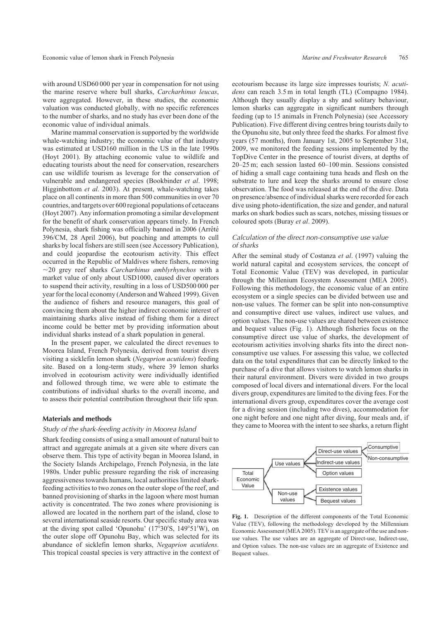with around USD60 000 per year in compensation for not using the marine reserve where bull sharks, *Carcharhinus leucas*, were aggregated. However, in these studies, the economic valuation was conducted globally, with no specific references to the number of sharks, and no study has ever been done of the economic value of individual animals.

Marine mammal conservation is supported by the worldwide whale-watching industry; the economic value of that industry was estimated at USD160 million in the US in the late 1990s (Hoyt 2001). By attaching economic value to wildlife and educating tourists about the need for conservation, researchers can use wildlife tourism as leverage for the conservation of vulnerable and endangered species (Bookbinder *et al*. 1998; Higginbottom *et al*. 2003). At present, whale-watching takes place on all continents in more than 500 communities in over 70 countries, and targets over 600 regional populations of cetaceans (Hoyt 2007). Any information promoting a similar development for the benefit of shark conservation appears timely. In French Polynesia, shark fishing was officially banned in 2006 (Arrêté 396/CM, 28 April 2006), but poaching and attempts to cull sharks by local fishers are still seen (see Accessory Publication), and could jeopardise the ecotourism activity. This effect occurred in the Republic of Maldives where fishers, removing ,20 grey reef sharks *Carcharhinus amblyrhynchos* with a market value of only about USD1000, caused diver operators to suspend their activity, resulting in a loss of USD500 000 per year for the local economy (Anderson and Waheed 1999). Given the audience of fishers and resource managers, this goal of convincing them about the higher indirect economic interest of maintaining sharks alive instead of fishing them for a direct income could be better met by providing information about individual sharks instead of a shark population in general.

In the present paper, we calculated the direct revenues to Moorea Island, French Polynesia, derived from tourist divers visiting a sicklefin lemon shark (*Negaprion acutidens*) feeding site. Based on a long-term study, where 39 lemon sharks involved in ecotourism activity were individually identified and followed through time, we were able to estimate the contributions of individual sharks to the overall income, and to assess their potential contribution throughout their life span.

# Materials and methods

#### Study of the shark-feeding activity in Moorea Island

Shark feeding consists of using a small amount of natural bait to attract and aggregate animals at a given site where divers can observe them. This type of activity began in Moorea Island, in the Society Islands Archipelago, French Polynesia, in the late 1980s. Under public pressure regarding the risk of increasing aggressiveness towards humans, local authorities limited sharkfeeding activities to two zones on the outer slope of the reef, and banned provisioning of sharks in the lagoon where most human activity is concentrated. The two zones where provisioning is allowed are located in the northern part of the island, close to several international seaside resorts. Our specific study area was at the diving spot called 'Opunohu'  $(17°30'S, 149°51'W)$ , on the outer slope off Opunohu Bay, which was selected for its abundance of sicklefin lemon sharks, *Negaprion acutidens*. This tropical coastal species is very attractive in the context of ecotourism because its large size impresses tourists; *N. acutidens* can reach 3.5 m in total length (TL) (Compagno 1984). Although they usually display a shy and solitary behaviour, lemon sharks can aggregate in significant numbers through feeding (up to 15 animals in French Polynesia) (see Accessory Publication). Five different diving centres bring tourists daily to the Opunohu site, but only three feed the sharks. For almost five years (57 months), from January 1st, 2005 to September 31st, 2009, we monitored the feeding sessions implemented by the TopDive Center in the presence of tourist divers, at depths of 20–25 m; each session lasted 60–100 min. Sessions consisted of hiding a small cage containing tuna heads and flesh on the substrate to lure and keep the sharks around to ensure close observation. The food was released at the end of the dive. Data on presence/absence of individual sharks were recorded for each dive using photo-identification, the size and gender, and natural marks on shark bodies such as scars, notches, missing tissues or coloured spots (Buray *et al*. 2009).

## Calculation of the direct non-consumptive use value of sharks

After the seminal study of Costanza *et al*. (1997) valuing the world natural capital and ecosystem services, the concept of Total Economic Value (TEV) was developed, in particular through the Millenium Ecosystem Assessment (MEA 2005). Following this methodology, the economic value of an entire ecosystem or a single species can be divided between use and non-use values. The former can be split into non-consumptive and consumptive direct use values, indirect use values, and option values. The non-use values are shared between existence and bequest values (Fig. 1). Although fisheries focus on the consumptive direct use value of sharks, the development of ecotourism activities involving sharks fits into the direct nonconsumptive use values. For assessing this value, we collected data on the total expenditures that can be directly linked to the purchase of a dive that allows visitors to watch lemon sharks in their natural environment. Divers were divided in two groups composed of local divers and international divers. For the local divers group, expenditures are limited to the diving fees. For the international divers group, expenditures cover the average cost for a diving session (including two dives), accommodation for one night before and one night after diving, four meals and, if they came to Moorea with the intent to see sharks, a return flight



**Fig. 1.** Description of the different components of the Total Economic Value (TEV), following the methodology developed by the Millennium Economic Assessment (MEA 2005). TEV is an aggregate of the use and nonuse values. The use values are an aggregate of Direct-use, Indirect-use, and Option values. The non-use values are an aggregate of Existence and Bequest values.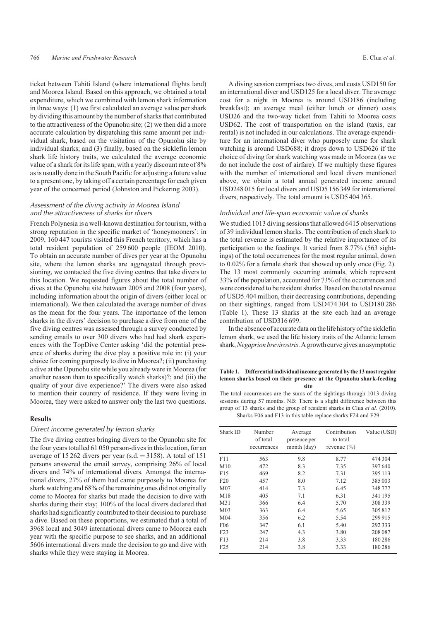ticket between Tahiti Island (where international flights land) and Moorea Island. Based on this approach, we obtained a total expenditure, which we combined with lemon shark information in three ways: (1) we first calculated an average value per shark by dividing this amount by the number of sharks that contributed to the attractiveness of the Opunohu site; (2) we then did a more accurate calculation by dispatching this same amount per individual shark, based on the visitation of the Opunohu site by individual sharks; and (3) finally, based on the sicklefin lemon shark life history traits, we calculated the average economic value of a shark for its life span, with a yearly discount rate of 8% as is usually done in the South Pacific for adjusting a future value to a present one, by taking off a certain percentage for each given year of the concerned period (Johnston and Pickering 2003).

# Assessment of the diving activity in Moorea Island and the attractiveness of sharks for divers

French Polynesia is a well-known destination for tourism, with a strong reputation in the specific market of 'honeymooners'; in 2009, 160 447 tourists visited this French territory, which has a total resident population of 259 600 people (IEOM 2010). To obtain an accurate number of dives per year at the Opunohu site, where the lemon sharks are aggregated through provisioning, we contacted the five diving centres that take divers to this location. We requested figures about the total number of dives at the Opunohu site between 2005 and 2008 (four years), including information about the origin of divers (either local or international). We then calculated the average number of dives as the mean for the four years. The importance of the lemon sharks in the divers' decision to purchase a dive from one of the five diving centres was assessed through a survey conducted by sending emails to over 300 divers who had had shark experiences with the TopDive Center asking 'did the potential presence of sharks during the dive play a positive role in: (i) your choice for coming purposely to dive in Moorea?; (ii) purchasing a dive at the Opunohu site while you already were in Moorea (for another reason than to specifically watch sharks)?; and (iii) the quality of your dive experience?' The divers were also asked to mention their country of residence. If they were living in Moorea, they were asked to answer only the last two questions.

# Results

#### Direct income generated by lemon sharks

The five diving centres bringing divers to the Opunohu site for the four years totalled 61 050 person-dives in this location, for an average of 15 262 divers per year (s.d.  $=$  3158). A total of 151 persons answered the email survey, comprising 26% of local divers and 74% of international divers. Amongst the international divers, 27% of them had came purposely to Moorea for shark watching and 68% of the remaining ones did not originally come to Moorea for sharks but made the decision to dive with sharks during their stay; 100% of the local divers declared that sharks had significantly contributed to their decision to purchase a dive. Based on these proportions, we estimated that a total of 3968 local and 3049 international divers came to Moorea each year with the specific purpose to see sharks, and an additional 5606 international divers made the decision to go and dive with sharks while they were staying in Moorea.

A diving session comprises two dives, and costs USD150 for an international diver and USD125 for a local diver. The average cost for a night in Moorea is around USD186 (including breakfast); an average meal (either lunch or dinner) costs USD26 and the two-way ticket from Tahiti to Moorea costs USD62. The cost of transportation on the island (taxis, car rental) is not included in our calculations. The average expenditure for an international diver who purposely came for shark watching is around USD688; it drops down to USD626 if the choice of diving for shark watching was made in Moorea (as we do not include the cost of airfare). If we multiply these figures with the number of international and local divers mentioned above, we obtain a total annual generated income around USD248 015 for local divers and USD5 156 349 for international divers, respectively. The total amount is USD5 404 365.

# Individual and life-span economic value of sharks

We studied 1013 diving sessions that allowed 6415 observations of 39 individual lemon sharks. The contribution of each shark to the total revenue is estimated by the relative importance of its participation to the feedings. It varied from 8.77% (563 sightings) of the total occurrences for the most regular animal, down to 0.02% for a female shark that showed up only once (Fig. 2). The 13 most commonly occurring animals, which represent 33% of the population, accounted for 73% of the occurrences and were considered to be resident sharks. Based on the total revenue of USD5.404 million, their decreasing contributions, depending on their sightings, ranged from USD474 304 to USD180 286 (Table 1). These 13 sharks at the site each had an average contribution of USD316 699.

In the absence of accurate data on the life history of the sicklefin lemon shark, we used the life history traits of the Atlantic lemon shark,*Negaprion brevirostris*. A growth curve gives an asymptotic

#### **Table 1. Differential individual income generated by the 13 most regular lemon sharks based on their presence at the Opunohu shark-feeding site**

The total occurrences are the sums of the sightings through 1013 diving sessions during 57 months. NB: There is a slight difference between this group of 13 sharks and the group of resident sharks in Clua *et al*. (2010). Sharks F06 and F13 in this table replace sharks F24 and F29

| Shark ID        | Number<br>of total<br>occurrences | Average<br>presence per<br>month (day) | Contribution<br>to total<br>revenue $(\% )$ | Value (USD) |
|-----------------|-----------------------------------|----------------------------------------|---------------------------------------------|-------------|
| F11             | 563                               | 9.8                                    | 8.77                                        | 474 304     |
| M10             | 472                               | 8.3                                    | 7.35                                        | 397640      |
| F15             | 469                               | 8.2                                    | 7.31                                        | 395 113     |
| F20             | 457                               | 8.0                                    | 7.12                                        | 385003      |
| M07             | 414                               | 7.3                                    | 6.45                                        | 348777      |
| M18             | 405                               | 7.1                                    | 6.31                                        | 341 195     |
| M31             | 366                               | 6.4                                    | 5.70                                        | 308339      |
| M <sub>03</sub> | 363                               | 6.4                                    | 5.65                                        | 305812      |
| M <sub>04</sub> | 356                               | 6.2                                    | 5.54                                        | 299 915     |
| F <sub>06</sub> | 347                               | 6.1                                    | 5.40                                        | 292333      |
| F23             | 247                               | 4.3                                    | 3.80                                        | 208 087     |
| F13             | 214                               | 3.8                                    | 3.33                                        | 180286      |
| F25             | 214                               | 3.8                                    | 3.33                                        | 180286      |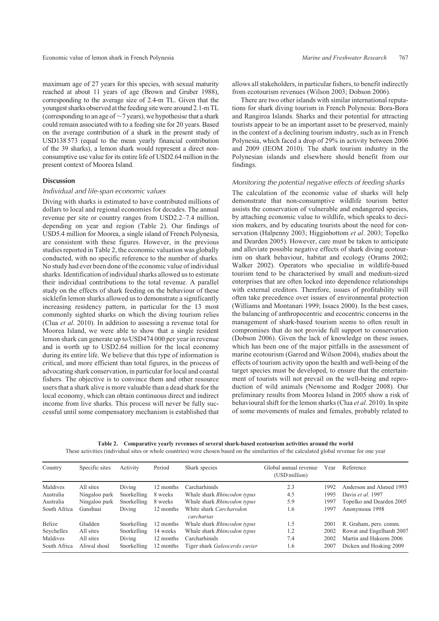maximum age of 27 years for this species, with sexual maturity reached at about 11 years of age (Brown and Gruber 1988), corresponding to the average size of 2.4-m TL. Given that the youngest sharks observed atthe feeding site were around 2.1-m TL (corresponding to an age of  $\sim$  7 years), we hypothesise that a shark could remain associated with to a feeding site for 20 years. Based on the average contribution of a shark in the present study of USD138 573 (equal to the mean yearly financial contribution of the 39 sharks), a lemon shark would represent a direct nonconsumptive use value for its entire life of USD2.64 million in the present context of Moorea Island.

# Discussion

### Individual and life-span economic values

Diving with sharks is estimated to have contributed millions of dollars to local and regional economies for decades. The annual revenue per site or country ranges from USD2.2–7.4 million, depending on year and region (Table 2). Our findings of USD5.4 million for Moorea, a single island of French Polynesia, are consistent with these figures. However, in the previous studies reported in Table 2, the economic valuation was globally conducted, with no specific reference to the number of sharks. No study had ever been done of the economic value of individual sharks. Identification of individual sharks allowed us to estimate their individual contributions to the total revenue. A parallel study on the effects of shark feeding on the behaviour of these sicklefin lemon sharks allowed us to demonstrate a significantly increasing residency pattern, in particular for the 13 most commonly sighted sharks on which the diving tourism relies (Clua *et al*. 2010). In addition to assessing a revenue total for Moorea Island, we were able to show that a single resident lemon shark can generate up to USD474 000 per year in revenue and is worth up to USD2.64 million for the local economy during its entire life. We believe that this type of information is critical, and more efficient than total figures, in the process of advocating shark conservation, in particular for local and coastal fishers. The objective is to convince them and other resource users that a shark alive is more valuable than a dead shark for the local economy, which can obtain continuous direct and indirect income from live sharks. This process will never be fully successful until some compensatory mechanism is established that allows all stakeholders, in particular fishers, to benefit indirectly from ecotourism revenues (Wilson 2003; Dobson 2006).

There are two other islands with similar international reputations for shark diving tourism in French Polynesia: Bora-Bora and Rangiroa Islands. Sharks and their potential for attracting tourists appear to be an important asset to be preserved, mainly in the context of a declining tourism industry, such as in French Polynesia, which faced a drop of 29% in activity between 2006 and 2009 (IEOM 2010). The shark tourism industry in the Polynesian islands and elsewhere should benefit from our findings.

# Monitoring the potential negative effects of feeding sharks

The calculation of the economic value of sharks will help demonstrate that non-consumptive wildlife tourism better assists the conservation of vulnerable and endangered species, by attaching economic value to wildlife, which speaks to decision makers, and by educating tourists about the need for conservation (Halpenny 2003; Higginbottom *et al*. 2003; Topelko and Dearden 2005). However, care must be taken to anticipate and alleviate possible negative effects of shark diving ecotourism on shark behaviour, habitat and ecology (Orams 2002; Walker 2002). Operators who specialise in wildlife-based tourism tend to be characterised by small and medium-sized enterprises that are often locked into dependence relationships with external creditors. Therefore, issues of profitability will often take precedence over issues of environmental protection (Williams and Montanari 1999; Issacs 2000). In the best cases, the balancing of anthropocentric and ecocentric concerns in the management of shark-based tourism seems to often result in compromises that do not provide full support to conservation (Dobson 2006). Given the lack of knowledge on these issues, which has been one of the major pitfalls in the assessment of marine ecotourism (Garrod and Wilson 2004), studies about the effects of tourism activity upon the health and well-being of the target species must be developed, to ensure that the entertainment of tourists will not prevail on the well-being and reproduction of wild animals (Newsome and Rodger 2008). Our preliminary results from Moorea Island in 2005 show a risk of behavioural shift for the lemon sharks (Clua *et al*. 2010). In spite of some movements of males and females, probably related to

**Table 2. Comparative yearly revenues of several shark-based ecotourism activities around the world** These activities (individual sites or whole countries) were chosen based on the similarities of the calculated global revenue for one year

| Country      | Specific sites | Activity    | Period    | Shark species                         | Global annual revenue<br>(USD million) | Year | Reference                 |
|--------------|----------------|-------------|-----------|---------------------------------------|----------------------------------------|------|---------------------------|
| Maldives     | All sites      | Diving      | 12 months | Carcharhinids                         | 2.3                                    | 1992 | Anderson and Ahmed 1993   |
| Australia    | Ningaloo park  | Snorkelling | 8 weeks   | Whale shark Rhincodon typus           | 4.5                                    | 1995 | Davis et al. 1997         |
| Australia    | Ningaloo park  | Snorkelling | 8 weeks   | Whale shark Rhincodon typus           | 5.9                                    | 1997 | Topelko and Dearden 2005  |
| South Africa | Gansbaai       | Diving      | 12 months | White shark Carcharodon<br>carcharias | 1.6                                    | 1997 | Anonymous 1998            |
| Belize       | Gladden        | Snorkelling | 12 months | Whale shark Rhincodon typus           | 1.5                                    | 2001 | R. Graham, pers. comm.    |
| Seychelles   | All sites      | Snorkelling | 14 weeks  | Whale shark Rhincodon typus           | 1.2                                    | 2002 | Rowat and Engelhardt 2007 |
| Maldives     | All sites      | Diving      | 12 months | Carcharhinids                         | 7.4                                    | 2002 | Martin and Hakeem 2006    |
| South Africa | Aliwal shoal   | Snorkelling | 12 months | Tiger shark Galeocerdo cuvier         | 1.6                                    | 2007 | Dicken and Hosking 2009   |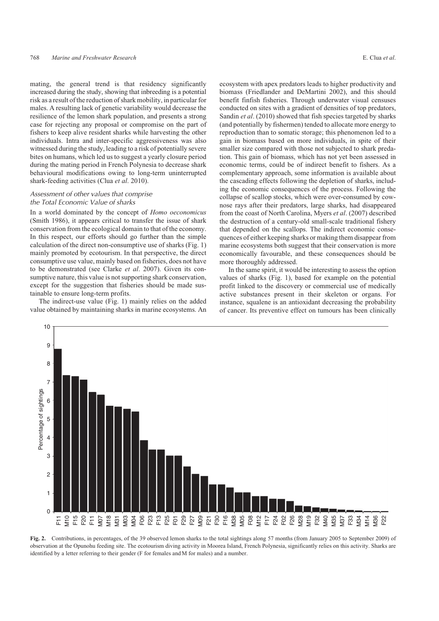mating, the general trend is that residency significantly increased during the study, showing that inbreeding is a potential risk as a result of the reduction of shark mobility, in particular for males. A resulting lack of genetic variability would decrease the resilience of the lemon shark population, and presents a strong case for rejecting any proposal or compromise on the part of fishers to keep alive resident sharks while harvesting the other individuals. Intra and inter-specific aggressiveness was also witnessed during the study, leading to a risk of potentially severe bites on humans, which led us to suggest a yearly closure period during the mating period in French Polynesia to decrease shark behavioural modifications owing to long-term uninterrupted shark-feeding activities (Clua *et al*. 2010).

# Assessment of other values that comprise the Total Economic Value of sharks

In a world dominated by the concept of *Homo oeconomicus* (Smith 1986), it appears critical to transfer the issue of shark conservation from the ecological domain to that of the economy. In this respect, our efforts should go further than the simple calculation of the direct non-consumptive use of sharks (Fig. 1) mainly promoted by ecotourism. In that perspective, the direct consumptive use value, mainly based on fisheries, does not have to be demonstrated (see Clarke *et al*. 2007). Given its consumptive nature, this value is not supporting shark conservation, except for the suggestion that fisheries should be made sustainable to ensure long-term profits.

The indirect-use value (Fig. 1) mainly relies on the added value obtained by maintaining sharks in marine ecosystems. An

ecosystem with apex predators leads to higher productivity and biomass (Friedlander and DeMartini 2002), and this should benefit finfish fisheries. Through underwater visual censuses conducted on sites with a gradient of densities of top predators, Sandin *et al*. (2010) showed that fish species targeted by sharks (and potentially by fishermen) tended to allocate more energy to reproduction than to somatic storage; this phenomenon led to a gain in biomass based on more individuals, in spite of their smaller size compared with those not subjected to shark predation. This gain of biomass, which has not yet been assessed in economic terms, could be of indirect benefit to fishers. As a complementary approach, some information is available about the cascading effects following the depletion of sharks, including the economic consequences of the process. Following the collapse of scallop stocks, which were over-consumed by cownose rays after their predators, large sharks, had disappeared from the coast of North Carolina, Myers *et al*. (2007) described the destruction of a century-old small-scale traditional fishery that depended on the scallops. The indirect economic consequences of either keeping sharks or making them disappear from marine ecosystems both suggest that their conservation is more economically favourable, and these consequences should be more thoroughly addressed.

In the same spirit, it would be interesting to assess the option values of sharks (Fig. 1), based for example on the potential profit linked to the discovery or commercial use of medically active substances present in their skeleton or organs. For instance, squalene is an antioxidant decreasing the probability of cancer. Its preventive effect on tumours has been clinically



Fig. 2. Contributions, in percentages, of the 39 observed lemon sharks to the total sightings along 57 months (from January 2005 to September 2009) of observation at the Opunohu feeding site. The ecotourism diving activity in Moorea Island, French Polynesia, significantly relies on this activity. Sharks are identified by a letter referring to their gender (F for females and M for males) and a number.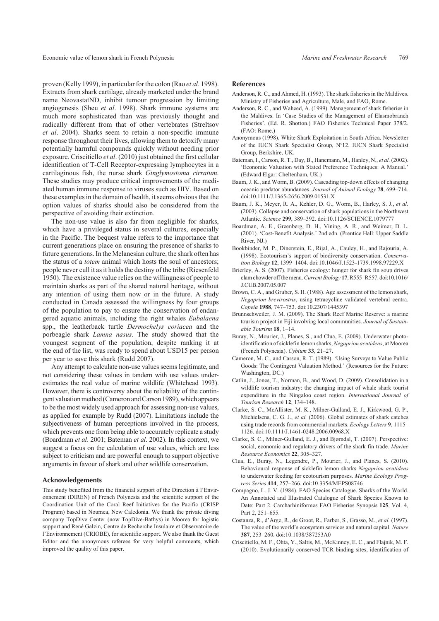Economic value of lemon shark in French Polynesia *Marine and Freshwater Research* 769

proven (Kelly 1999), in particular for the colon (Rao *et al*. 1998). Extracts from shark cartilage, already marketed under the brand name NeovastatND, inhibit tumour progression by limiting angiogenesis (Sheu *et al*. 1998). Shark immune systems are much more sophisticated than was previously thought and radically different from that of other vertebrates (Streltsov *et al*. 2004). Sharks seem to retain a non-specific immune response throughout their lives, allowing them to detoxify many potentially harmful compounds quickly without needing prior exposure. Criscitiello *et al*. (2010) just obtained the first cellular identification of T-Cell Receptor-expressing lymphocytes in a cartilaginous fish, the nurse shark *Ginglymostoma cirratum*. These studies may produce critical improvements of the mediated human immune response to viruses such as HIV. Based on these examples in the domain of health, it seems obvious that the option values of sharks should also be considered from the perspective of avoiding their extinction.

The non-use value is also far from negligible for sharks, which have a privileged status in several cultures, especially in the Pacific. The bequest value refers to the importance that current generations place on ensuring the presence of sharks to future generations. In the Melanesian culture, the shark often has the status of a *totem* animal which hosts the soul of ancestors; people never cull it as it holds the destiny of the tribe (Riesenfeld 1950). The existence value relies on the willingness of people to maintain sharks as part of the shared natural heritage, without any intention of using them now or in the future. A study conducted in Canada assessed the willingness by four groups of the population to pay to ensure the conservation of endangered aquatic animals, including the right whales *Eubalaena* spp., the leatherback turtle *Dermochelys coriacea* and the porbeagle shark *Lamna nasus*. The study showed that the youngest segment of the population, despite ranking it at the end of the list, was ready to spend about USD15 per person per year to save this shark (Rudd 2007).

Any attempt to calculate non-use values seems legitimate, and not considering these values in tandem with use values underestimates the real value of marine wildlife (Whitehead 1993). However, there is controversy about the reliability of the contingent valuation method (Cameron and Carson 1989), which appears to be the most widely used approach for assessing non-use values, as applied for example by Rudd (2007). Limitations include the subjectiveness of human perceptions involved in the process, which prevents one from being able to accurately replicate a study (Boardman *et al*. 2001; Bateman *et al*. 2002). In this context, we suggest a focus on the calculation of use values, which are less subject to criticism and are powerful enough to support objective arguments in favour of shark and other wildlife conservation.

## Acknowledgements

This study benefited from the financial support of the Direction à l'Environnement (DIREN) of French Polynesia and the scientific support of the Coordination Unit of the Coral Reef Initiatives for the Pacific (CRISP Program) based in Noumea, New Caledonia. We thank the private diving company TopDive Center (now TopDive-Bathys) in Moorea for logistic support and René Galzin, Centre de Recherche Insulaire et Observatoire de l'Environnement (CRIOBE), for scientific support. We also thank the Guest Editor and the anonymous referees for very helpful comments, which improved the quality of this paper.

## References

- Anderson, R. C., and Ahmed, H. (1993). The shark fisheries in the Maldives. Ministry of Fisheries and Agriculture, Male, and FAO, Rome.
- Anderson, R. C., and Waheed, A. (1999). Management of shark fisheries in the Maldives. In 'Case Studies of the Management of Elasmobranch Fisheries'. (Ed. R. Shotton.) FAO Fisheries Technical Paper 378/2. (FAO: Rome.)
- Anonymous (1998). White Shark Exploitation in South Africa. Newsletter of the IUCN Shark Specialist Group, N°12. IUCN Shark Specialist Group, Berkshire, UK.
- Bateman, I., Carson, R. T., Day, B., Hanemann, M., Hanley, N., *et al.* (2002). 'Economic Valuation with Stated Preference Techniques: A Manual.' (Edward Elgar: Cheltenham, UK.)
- Baum, J. K., and Worm, B. (2009). Cascading top-down effects of changing oceanic predator abundances. *Journal of Animal Ecology* **78**, 699–714. doi:10.1111/J.1365-2656.2009.01531.X
- Baum, J. K., Meyer, R. A., Kehler, D. G., Worm, B., Harley, S. J., *et al.* (2003). Collapse and conservation of shark populations in the Northwest Atlantic. *Science* **299**, 389–392. doi:10.1126/SCIENCE.1079777
- Boardman, A. E., Greenberg, D. H., Vining, A. R., and Weimer, D. L. (2001). 'Cost-Benefit Analysis.' 2nd edn. (Prentice Hall: Upper Saddle River, NJ.)
- Bookbinder, M. P., Dinerstein, E., Rijal, A., Cauley, H., and Rajouria, A. (1998). Ecotourism's support of biodiversity conservation. *Conservation Biology* **12**, 1399–1404. doi:10.1046/J.1523-1739.1998.97229.X
- Brierley, A. S. (2007). Fisheries ecology: hunger for shark fin soup drives clam chowder off the menu.*Current Biology* **17**, R555–R557. doi:10.1016/ J.CUB.2007.05.007
- Brown, C. A., and Gruber, S. H. (1988). Age assessment of the lemon shark, *Negaprion brevirostris*, using tetracycline validated vertebral centra. *Copeia* **1988**, 747–753. doi:10.2307/1445397
- Brunnschweiler, J. M. (2009). The Shark Reef Marine Reserve: a marine tourism project in Fiji involving local communities. *Journal of Sustainable Tourism* **18**, 1–14.
- Buray, N., Mourier, J., Planes, S., and Clua, E. (2009). Underwater photoidentification of sicklefin lemon sharks, *Negaprion acutidens*, at Moorea (French Polynesia). *Cybium* **33**, 21–27.
- Cameron, M. C., and Carson, R. T. (1989). 'Using Surveys to Value Public Goods: The Contingent Valuation Method.' (Resources for the Future: Washington, DC.).
- Catlin, J., Jones, T., Norman, B., and Wood, D. (2009). Consolidation in a wildlife tourism industry: the changing impact of whale shark tourist expenditure in the Ningaloo coast region. *International Journal of Tourism Research* **12**, 134–148.
- Clarke, S. C., McAllister, M. K., Milner-Gulland, E. J., Kirkwood, G. P., Michielsens, C. G. J., *et al.* (2006). Global estimates of shark catches using trade records from commercial markets. *Ecology Letters* **9**, 1115– 1126. doi:10.1111/J.1461-0248.2006.00968.X
- Clarke, S. C., Milner-Gulland, E. J., and Bjørndal, T. (2007). Perspective: social, economic and regulatory drivers of the shark fin trade. *Marine Resource Economics* **22**, 305–327.
- Clua, E., Buray, N., Legendre, P., Mourier, J., and Planes, S. (2010). Behavioural response of sicklefin lemon sharks *Negaprion acutidens* to underwater feeding for ecotourism purposes. *Marine Ecology Progress Series* **414**, 257–266. doi:10.3354/MEPS08746
- Compagno, L. J. V. (1984). FAO Species Catalogue. Sharks of the World. An Annotated and Illustrated Catalogue of Shark Species Known to Date: Part 2. Carcharhiniformes FAO Fisheries Synopsis **125**, Vol. 4, Part 2, 251–655.
- Costanza, R., d'Arge, R., de Groot, R., Farber, S., Grasso, M., *et al.* (1997). The value of the world's ecosystem services and natural capital. *Nature* **387**, 253–260. doi:10.1038/387253A0
- Criscitiello, M. F., Ohta, Y., Saltis, M., McKinney, E. C., and Flajnik, M. F. (2010). Evolutionarily conserved TCR binding sites, identification of